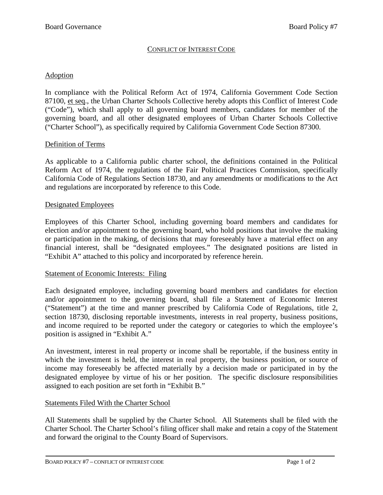#### CONFLICT OF INTEREST CODE

#### Adoption

In compliance with the Political Reform Act of 1974, California Government Code Section 87100, et seq., the Urban Charter Schools Collective hereby adopts this Conflict of Interest Code ("Code"), which shall apply to all governing board members, candidates for member of the governing board, and all other designated employees of Urban Charter Schools Collective ("Charter School"), as specifically required by California Government Code Section 87300.

### Definition of Terms

As applicable to a California public charter school, the definitions contained in the Political Reform Act of 1974, the regulations of the Fair Political Practices Commission, specifically California Code of Regulations Section 18730, and any amendments or modifications to the Act and regulations are incorporated by reference to this Code.

#### Designated Employees

Employees of this Charter School, including governing board members and candidates for election and/or appointment to the governing board, who hold positions that involve the making or participation in the making, of decisions that may foreseeably have a material effect on any financial interest, shall be "designated employees." The designated positions are listed in "Exhibit A" attached to this policy and incorporated by reference herein.

#### Statement of Economic Interests: Filing

Each designated employee, including governing board members and candidates for election and/or appointment to the governing board, shall file a Statement of Economic Interest ("Statement") at the time and manner prescribed by California Code of Regulations, title 2, section 18730, disclosing reportable investments, interests in real property, business positions, and income required to be reported under the category or categories to which the employee's position is assigned in "Exhibit A."

An investment, interest in real property or income shall be reportable, if the business entity in which the investment is held, the interest in real property, the business position, or source of income may foreseeably be affected materially by a decision made or participated in by the designated employee by virtue of his or her position. The specific disclosure responsibilities assigned to each position are set forth in "Exhibit B."

#### Statements Filed With the Charter School

All Statements shall be supplied by the Charter School. All Statements shall be filed with the Charter School. The Charter School's filing officer shall make and retain a copy of the Statement and forward the original to the County Board of Supervisors.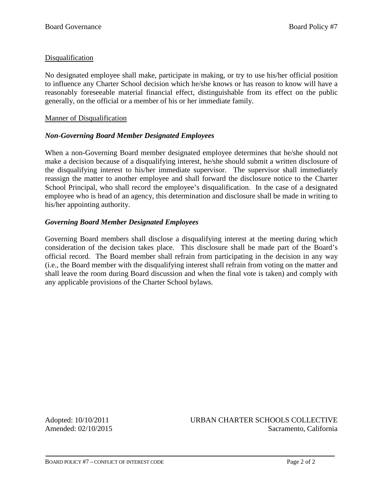## **Disqualification**

No designated employee shall make, participate in making, or try to use his/her official position to influence any Charter School decision which he/she knows or has reason to know will have a reasonably foreseeable material financial effect, distinguishable from its effect on the public generally, on the official or a member of his or her immediate family.

### Manner of Disqualification

### *Non-Governing Board Member Designated Employees*

When a non-Governing Board member designated employee determines that he/she should not make a decision because of a disqualifying interest, he/she should submit a written disclosure of the disqualifying interest to his/her immediate supervisor. The supervisor shall immediately reassign the matter to another employee and shall forward the disclosure notice to the Charter School Principal, who shall record the employee's disqualification. In the case of a designated employee who is head of an agency, this determination and disclosure shall be made in writing to his/her appointing authority.

### *Governing Board Member Designated Employees*

Governing Board members shall disclose a disqualifying interest at the meeting during which consideration of the decision takes place. This disclosure shall be made part of the Board's official record. The Board member shall refrain from participating in the decision in any way (i.e., the Board member with the disqualifying interest shall refrain from voting on the matter and shall leave the room during Board discussion and when the final vote is taken) and comply with any applicable provisions of the Charter School bylaws.

Adopted: 10/10/2011 URBAN CHARTER SCHOOLS COLLECTIVE Amended: 02/10/2015 Sacramento, California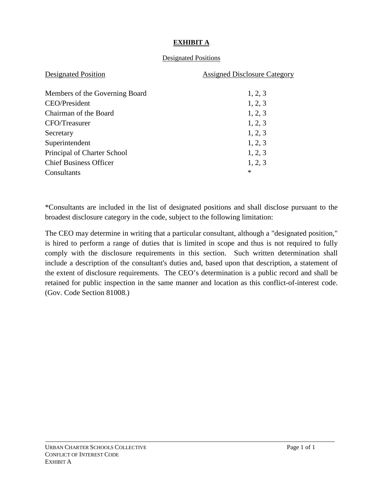## **EXHIBIT A**

## Designated Positions

| <b>Designated Position</b>     | <b>Assigned Disclosure Category</b> |
|--------------------------------|-------------------------------------|
|                                |                                     |
| Members of the Governing Board | 1, 2, 3                             |
| <b>CEO/President</b>           | 1, 2, 3                             |
| Chairman of the Board          | 1, 2, 3                             |
| CFO/Treasurer                  | 1, 2, 3                             |
| Secretary                      | 1, 2, 3                             |
| Superintendent                 | 1, 2, 3                             |
| Principal of Charter School    | 1, 2, 3                             |
| <b>Chief Business Officer</b>  | 1, 2, 3                             |
| Consultants                    | $\ast$                              |

\*Consultants are included in the list of designated positions and shall disclose pursuant to the broadest disclosure category in the code, subject to the following limitation:

The CEO may determine in writing that a particular consultant, although a "designated position," is hired to perform a range of duties that is limited in scope and thus is not required to fully comply with the disclosure requirements in this section. Such written determination shall include a description of the consultant's duties and, based upon that description, a statement of the extent of disclosure requirements. The CEO's determination is a public record and shall be retained for public inspection in the same manner and location as this conflict-of-interest code. (Gov. Code Section 81008.)